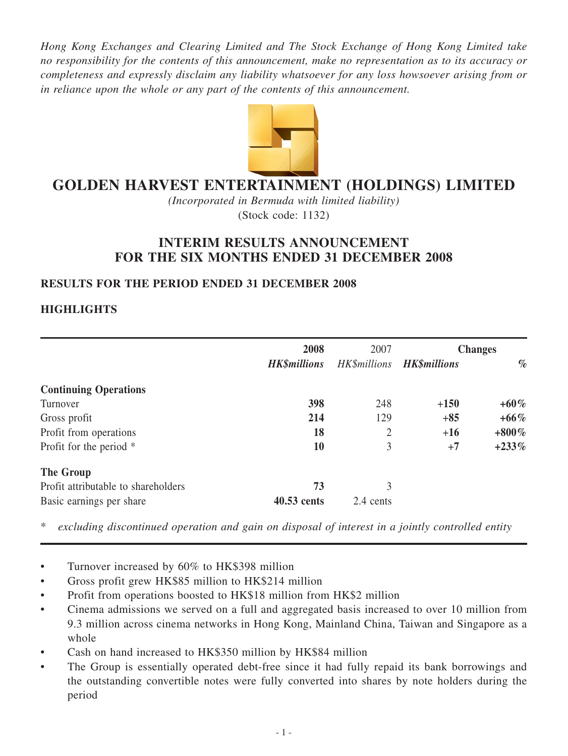*Hong Kong Exchanges and Clearing Limited and The Stock Exchange of Hong Kong Limited take no responsibility for the contents of this announcement, make no representation as to its accuracy or completeness and expressly disclaim any liability whatsoever for any loss howsoever arising from or in reliance upon the whole or any part of the contents of this announcement.*



# **GOLDEN HARVEST ENTERTAINMENT (HOLDINGS) LIMITED**

*(Incorporated in Bermuda with limited liability)* (Stock code: 1132)

# **INTERIM RESULTS ANNOUNCEMENT FOR THE SIX MONTHS ENDED 31 DECEMBER 2008**

# **RESULTS FOR THE PERIOD ENDED 31 December 2008**

# **HIGHLIGHTS**

|                                     | 2008                | 2007                | <b>Changes</b>      |          |  |
|-------------------------------------|---------------------|---------------------|---------------------|----------|--|
|                                     | <b>HK\$millions</b> | <b>HK\$millions</b> | <b>HK\$millions</b> | $\%$     |  |
| <b>Continuing Operations</b>        |                     |                     |                     |          |  |
| Turnover                            | 398                 | 248                 | $+150$              | $+60\%$  |  |
| Gross profit                        | 214                 | 129                 | $+85$               | $+66\%$  |  |
| Profit from operations              | 18                  | $\overline{2}$      | $+16$               | $+800\%$ |  |
| Profit for the period *             | 10                  | 3                   | $+7$                | $+233%$  |  |
| <b>The Group</b>                    |                     |                     |                     |          |  |
| Profit attributable to shareholders | 73                  | 3                   |                     |          |  |
| Basic earnings per share            | 40.53 cents         | 2.4 cents           |                     |          |  |

\* *excluding discontinued operation and gain on disposal of interest in a jointly controlled entity*

- Turnover increased by 60% to HK\$398 million
- Gross profit grew HK\$85 million to HK\$214 million
- Profit from operations boosted to HK\$18 million from HK\$2 million
- Cinema admissions we served on a full and aggregated basis increased to over 10 million from 9.3 million across cinema networks in Hong Kong, Mainland China, Taiwan and Singapore as a whole
- Cash on hand increased to HK\$350 million by HK\$84 million
- The Group is essentially operated debt-free since it had fully repaid its bank borrowings and the outstanding convertible notes were fully converted into shares by note holders during the period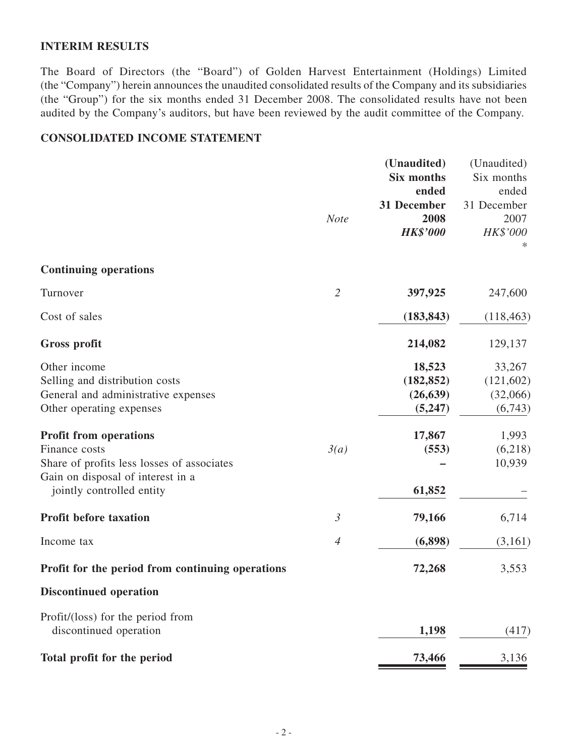#### **INTERIM RESULTS**

The Board of Directors (the "Board") of Golden Harvest Entertainment (Holdings) Limited (the "Company") herein announces the unaudited consolidated results of the Company and its subsidiaries (the "Group") for the six months ended 31 December 2008. The consolidated results have not been audited by the Company's auditors, but have been reviewed by the audit committee of the Company.

## **Consolidated income statement**

|                                                  |                | (Unaudited)       | (Unaudited) |
|--------------------------------------------------|----------------|-------------------|-------------|
|                                                  |                | <b>Six months</b> | Six months  |
|                                                  |                | ended             | ended       |
|                                                  |                | 31 December       | 31 December |
|                                                  | <b>Note</b>    | 2008              | 2007        |
|                                                  |                | <b>HK\$'000</b>   | HK\$'000    |
|                                                  |                |                   |             |
| <b>Continuing operations</b>                     |                |                   |             |
| Turnover                                         | $\overline{2}$ | 397,925           | 247,600     |
| Cost of sales                                    |                | (183, 843)        | (118, 463)  |
| <b>Gross profit</b>                              |                | 214,082           | 129,137     |
| Other income                                     |                | 18,523            | 33,267      |
| Selling and distribution costs                   |                | (182, 852)        | (121, 602)  |
| General and administrative expenses              |                | (26, 639)         | (32,066)    |
| Other operating expenses                         |                | (5,247)           | (6,743)     |
| <b>Profit from operations</b>                    |                | 17,867            | 1,993       |
| Finance costs                                    | 3(a)           | (553)             | (6,218)     |
| Share of profits less losses of associates       |                |                   | 10,939      |
| Gain on disposal of interest in a                |                |                   |             |
| jointly controlled entity                        |                | 61,852            |             |
| <b>Profit before taxation</b>                    | $\mathfrak{Z}$ | 79,166            | 6,714       |
| Income tax                                       | $\overline{4}$ | (6,898)           | (3,161)     |
| Profit for the period from continuing operations |                | 72,268            | 3,553       |
| <b>Discontinued operation</b>                    |                |                   |             |
| Profit/(loss) for the period from                |                |                   |             |
| discontinued operation                           |                | 1,198             | (417)       |
| Total profit for the period                      |                | 73,466            | 3,136       |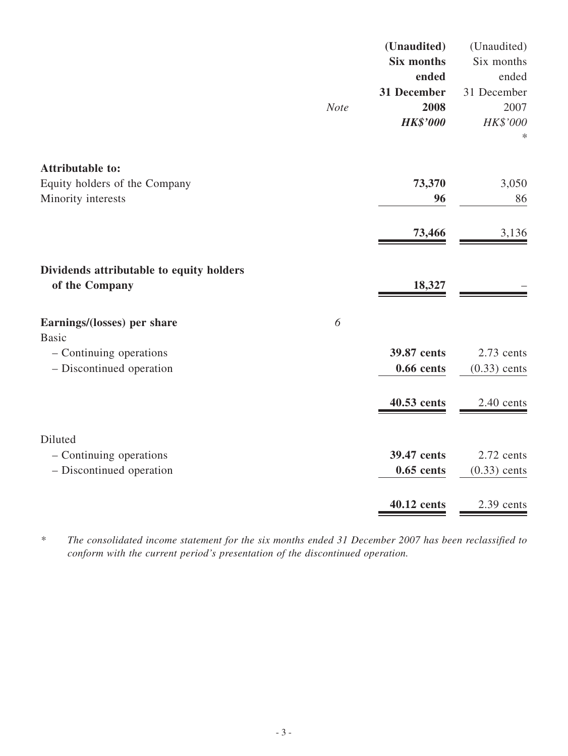|                                                            |             | (Unaudited)       | (Unaudited)    |
|------------------------------------------------------------|-------------|-------------------|----------------|
|                                                            |             | <b>Six months</b> | Six months     |
|                                                            |             | ended             | ended          |
|                                                            |             | 31 December       | 31 December    |
|                                                            | <b>Note</b> | 2008              | 2007           |
|                                                            |             | <b>HK\$'000</b>   | HK\$'000       |
|                                                            |             |                   |                |
| <b>Attributable to:</b>                                    |             |                   |                |
| Equity holders of the Company                              |             | 73,370            | 3,050          |
| Minority interests                                         |             | 96                | 86             |
|                                                            |             | 73,466            | 3,136          |
| Dividends attributable to equity holders<br>of the Company |             | 18,327            |                |
| Earnings/(losses) per share                                | 6           |                   |                |
| <b>Basic</b>                                               |             |                   |                |
| - Continuing operations                                    |             | 39.87 cents       | 2.73 cents     |
| - Discontinued operation                                   |             | $0.66$ cents      | $(0.33)$ cents |
|                                                            |             | 40.53 cents       | 2.40 cents     |
| Diluted                                                    |             |                   |                |
| - Continuing operations                                    |             | 39.47 cents       | 2.72 cents     |
| - Discontinued operation                                   |             | $0.65$ cents      | $(0.33)$ cents |
|                                                            |             | 40.12 cents       | 2.39 cents     |
|                                                            |             |                   |                |

*\* The consolidated income statement for the six months ended 31 December 2007 has been reclassified to conform with the current period's presentation of the discontinued operation.*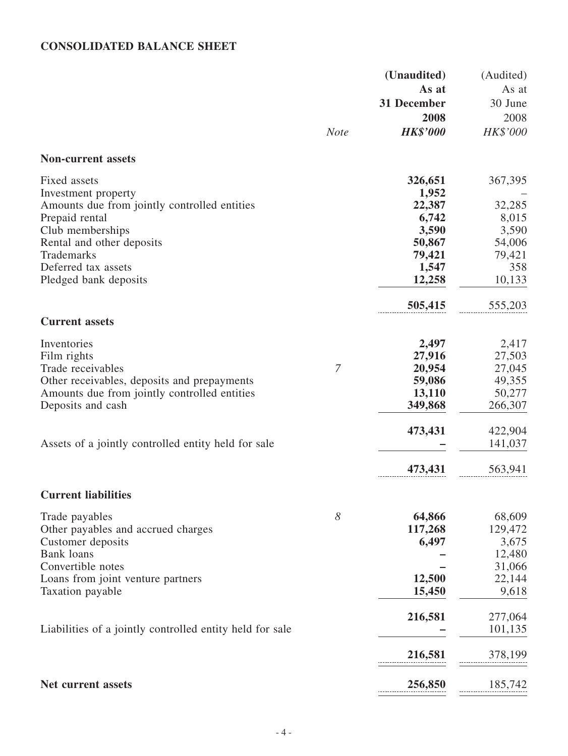# **Consolidated balance sheet**

|                                                                     |             | (Unaudited)      | (Audited) |
|---------------------------------------------------------------------|-------------|------------------|-----------|
|                                                                     |             | As at            | As at     |
|                                                                     |             | 31 December      | 30 June   |
|                                                                     |             | 2008             | 2008      |
|                                                                     | <b>Note</b> | <b>HK\$'000</b>  | HK\$'000  |
| <b>Non-current assets</b>                                           |             |                  |           |
|                                                                     |             |                  |           |
| Fixed assets                                                        |             | 326,651<br>1,952 | 367,395   |
| Investment property<br>Amounts due from jointly controlled entities |             | 22,387           | 32,285    |
| Prepaid rental                                                      |             | 6,742            | 8,015     |
| Club memberships                                                    |             | 3,590            | 3,590     |
| Rental and other deposits                                           |             | 50,867           | 54,006    |
| Trademarks                                                          |             | 79,421           | 79,421    |
| Deferred tax assets                                                 |             | 1,547            | 358       |
| Pledged bank deposits                                               |             | 12,258           | 10,133    |
|                                                                     |             | 505,415          | 555,203   |
| <b>Current assets</b>                                               |             |                  |           |
| Inventories                                                         |             | 2,497            | 2,417     |
| Film rights                                                         |             | 27,916           | 27,503    |
| Trade receivables                                                   | 7           | 20,954           | 27,045    |
| Other receivables, deposits and prepayments                         |             | 59,086           | 49,355    |
| Amounts due from jointly controlled entities                        |             | 13,110           | 50,277    |
| Deposits and cash                                                   |             | 349,868          | 266,307   |
|                                                                     |             | 473,431          | 422,904   |
| Assets of a jointly controlled entity held for sale                 |             |                  | 141,037   |
|                                                                     |             | 473,431          | 563,941   |
| <b>Current liabilities</b>                                          |             |                  |           |
| Trade payables                                                      | 8           | 64,866           | 68,609    |
| Other payables and accrued charges                                  |             | 117,268          | 129,472   |
| Customer deposits                                                   |             | 6,497            | 3,675     |
| <b>Bank</b> loans                                                   |             |                  | 12,480    |
| Convertible notes                                                   |             |                  | 31,066    |
| Loans from joint venture partners                                   |             | 12,500           | 22,144    |
| Taxation payable                                                    |             | 15,450           | 9,618     |
|                                                                     |             | 216,581          | 277,064   |
| Liabilities of a jointly controlled entity held for sale            |             |                  | 101,135   |
|                                                                     |             | 216,581          | 378,199   |
| Net current assets                                                  |             | 256,850          | 185,742   |
|                                                                     |             |                  |           |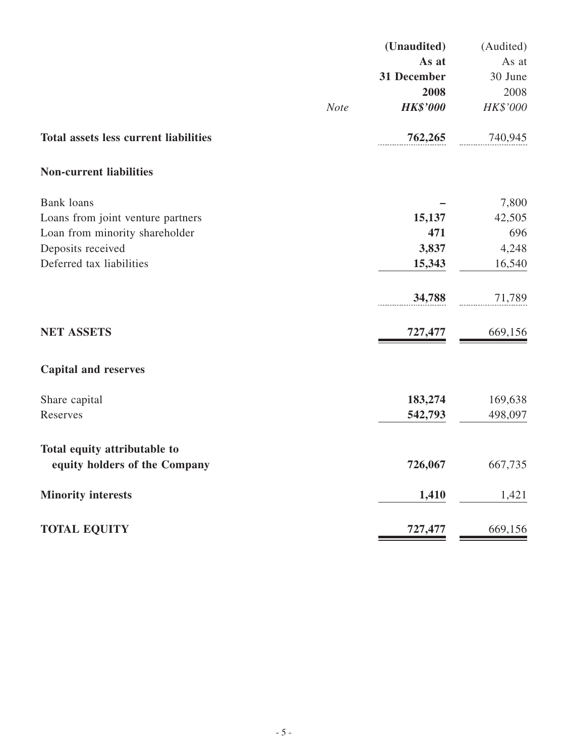|                                              |             | (Unaudited)     | (Audited) |
|----------------------------------------------|-------------|-----------------|-----------|
|                                              |             | As at           | As at     |
|                                              |             | 31 December     | 30 June   |
|                                              |             | 2008            | 2008      |
|                                              | <b>Note</b> | <b>HK\$'000</b> | HK\$'000  |
| <b>Total assets less current liabilities</b> |             | 762,265         | 740,945   |
| <b>Non-current liabilities</b>               |             |                 |           |
| <b>Bank</b> loans                            |             |                 | 7,800     |
| Loans from joint venture partners            |             | 15,137          | 42,505    |
| Loan from minority shareholder               |             | 471             | 696       |
| Deposits received                            |             | 3,837           | 4,248     |
| Deferred tax liabilities                     |             | 15,343          | 16,540    |
|                                              |             | 34,788          | 71,789    |
| <b>NET ASSETS</b>                            |             | 727,477         | 669,156   |
| <b>Capital and reserves</b>                  |             |                 |           |
| Share capital                                |             | 183,274         | 169,638   |
| Reserves                                     |             | 542,793         | 498,097   |
| Total equity attributable to                 |             |                 |           |
| equity holders of the Company                |             | 726,067         | 667,735   |
| <b>Minority interests</b>                    |             | 1,410           | 1,421     |
| <b>TOTAL EQUITY</b>                          |             | 727,477         | 669,156   |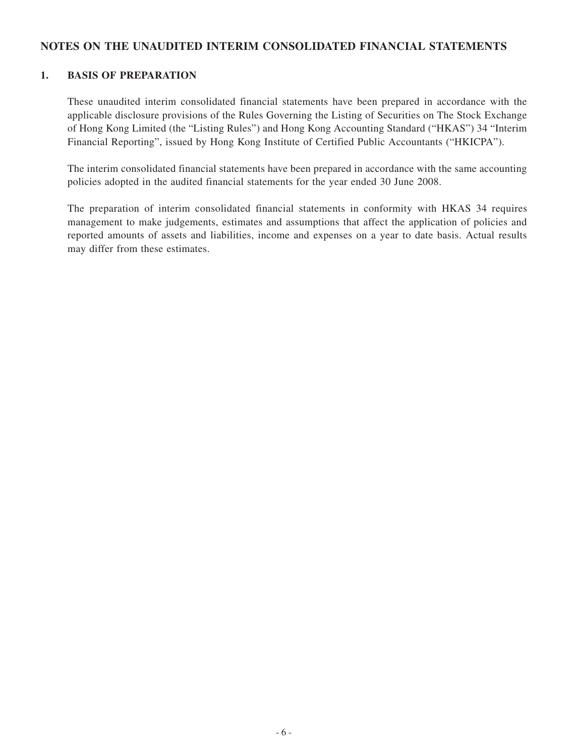#### **NOTES On the unaudited interim consolidated FINANCIAL STATEMENTS**

#### **1. Basis of preparation**

These unaudited interim consolidated financial statements have been prepared in accordance with the applicable disclosure provisions of the Rules Governing the Listing of Securities on The Stock Exchange of Hong Kong Limited (the "Listing Rules") and Hong Kong Accounting Standard ("HKAS") 34 "Interim Financial Reporting", issued by Hong Kong Institute of Certified Public Accountants ("HKICPA").

The interim consolidated financial statements have been prepared in accordance with the same accounting policies adopted in the audited financial statements for the year ended 30 June 2008.

The preparation of interim consolidated financial statements in conformity with HKAS 34 requires management to make judgements, estimates and assumptions that affect the application of policies and reported amounts of assets and liabilities, income and expenses on a year to date basis. Actual results may differ from these estimates.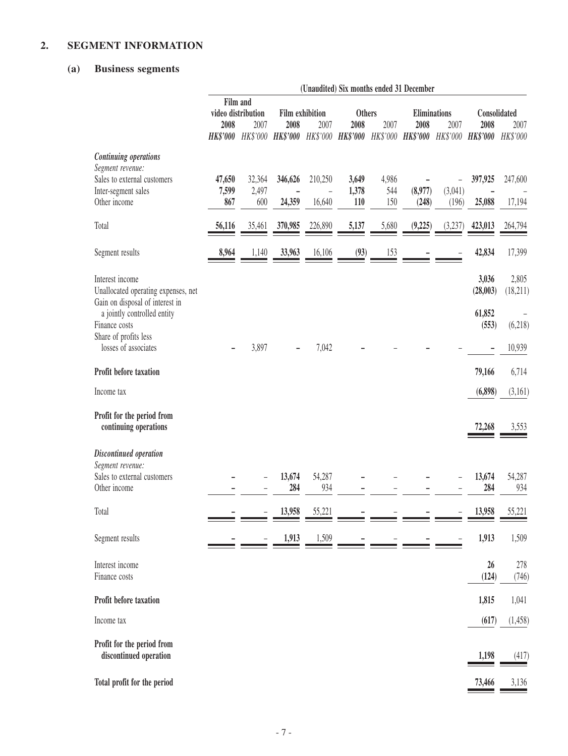# **2. Segment information**

# **(a) Business segments**

|                                                                                           |                                                |              |                                                                |         |                               |                 | (Unaudited) Six months ended 31 December |                  |                              |                   |
|-------------------------------------------------------------------------------------------|------------------------------------------------|--------------|----------------------------------------------------------------|---------|-------------------------------|-----------------|------------------------------------------|------------------|------------------------------|-------------------|
|                                                                                           | Film and<br>video distribution<br>2008<br>2007 |              | <b>Film exhibition</b><br>2007<br>2008                         |         | <b>Others</b><br>2007<br>2008 |                 | <b>Eliminations</b><br>2007<br>2008      |                  | Consolidated<br>2008<br>2007 |                   |
|                                                                                           |                                                |              | HK\$'000 HK\$'000 HK\$'000 HK\$'000 HK\$'000 HK\$'000 HK\$'000 |         |                               |                 |                                          | HK\$'000         | <b>HK\$'000</b>              | HK\$'000          |
| <b>Continuing operations</b><br>Segment revenue:<br>Sales to external customers           | 47,650                                         | 32,364       | 346,626                                                        | 210,250 | 3,649                         | 4,986           |                                          |                  | 397,925                      | 247,600           |
| Inter-segment sales<br>Other income                                                       | 7,599<br>867                                   | 2,497<br>600 | 24,359                                                         | 16,640  | 1,378<br>110                  | 544<br>150      | (8,977)<br>(248)                         | (3,041)<br>(196) | 25,088                       | 17,194            |
| Total                                                                                     | 56,116                                         | 35,461       | 370,985                                                        | 226,890 | 5,137                         | 5,680           | (9,225)                                  | (3,237)          | 423,013                      | 264,794           |
| Segment results                                                                           | 8,964                                          | 1,140        | 33,963                                                         | 16,106  | (93)                          | $\frac{153}{2}$ |                                          |                  | 42,834                       | 17,399            |
| Interest income<br>Unallocated operating expenses, net<br>Gain on disposal of interest in |                                                |              |                                                                |         |                               |                 |                                          |                  | 3,036<br>(28,003)            | 2,805<br>(18,211) |
| a jointly controlled entity<br>Finance costs<br>Share of profits less                     |                                                |              |                                                                |         |                               |                 |                                          |                  | 61,852<br>(553)              | (6,218)           |
| losses of associates                                                                      |                                                | 3,897        |                                                                | 7,042   |                               |                 |                                          |                  |                              | 10,939            |
| Profit before taxation                                                                    |                                                |              |                                                                |         |                               |                 |                                          |                  | 79,166                       | 6,714             |
| Income tax                                                                                |                                                |              |                                                                |         |                               |                 |                                          |                  | (6,898)                      | (3,161)           |
| Profit for the period from<br>continuing operations                                       |                                                |              |                                                                |         |                               |                 |                                          |                  | 72,268                       | 3,553             |
| Discontinued operation                                                                    |                                                |              |                                                                |         |                               |                 |                                          |                  |                              |                   |
| Segment revenue:<br>Sales to external customers                                           |                                                |              | 13,674                                                         | 54,287  |                               |                 |                                          |                  | 13,674                       | 54,287            |
| Other income                                                                              |                                                |              | 284                                                            | 934     |                               |                 |                                          |                  | 284                          | 934               |
| Total                                                                                     |                                                |              | 13.958                                                         | 55 221  |                               |                 |                                          |                  | 13.958                       | 55,221            |
| Segment results                                                                           |                                                |              | 1,913                                                          | 1,509   |                               |                 |                                          |                  | 1,913                        | 1,509             |
| Interest income<br>Finance costs                                                          |                                                |              |                                                                |         |                               |                 |                                          |                  | 26<br>(124)                  | 278<br>(746)      |
| Profit before taxation                                                                    |                                                |              |                                                                |         |                               |                 |                                          |                  | 1,815                        | 1,041             |
| Income tax                                                                                |                                                |              |                                                                |         |                               |                 |                                          |                  | (617)                        | (1,458)           |
| Profit for the period from<br>discontinued operation                                      |                                                |              |                                                                |         |                               |                 |                                          |                  | 1,198                        | (417)             |
| Total profit for the period                                                               |                                                |              |                                                                |         |                               |                 |                                          |                  | 73,466                       | 3,136             |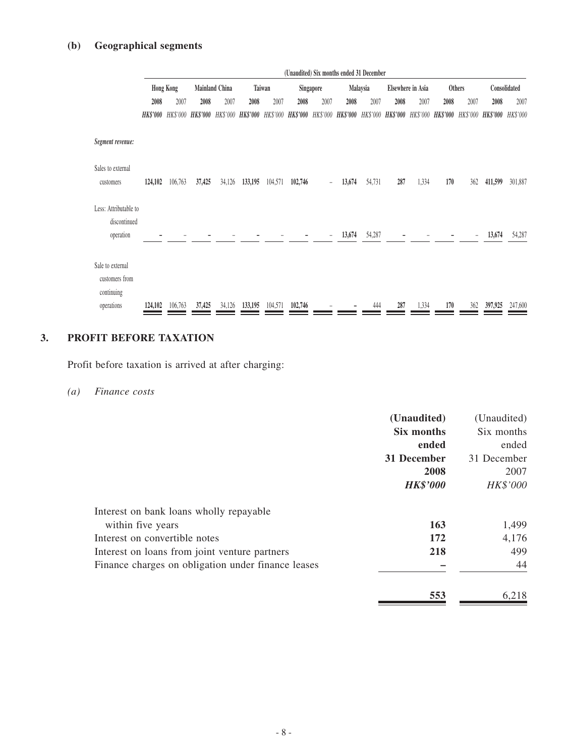|                                                    | (Unaudited) Six months ended 31 December                              |         |                                                                                                                                                 |        |         |                   |         |            |        |              |      |       |      |      |         |         |
|----------------------------------------------------|-----------------------------------------------------------------------|---------|-------------------------------------------------------------------------------------------------------------------------------------------------|--------|---------|-------------------|---------|------------|--------|--------------|------|-------|------|------|---------|---------|
|                                                    | <b>Hong Kong</b><br>Mainland China<br>Taiwan<br>Singapore<br>Malaysia |         |                                                                                                                                                 |        |         | Elsewhere in Asia |         | Others     |        | Consolidated |      |       |      |      |         |         |
|                                                    | 2008                                                                  | 2007    | 2008                                                                                                                                            | 2007   | 2008    | 2007              | 2008    | 2007       | 2008   | 2007         | 2008 | 2007  | 2008 | 2007 | 2008    | 2007    |
|                                                    |                                                                       |         | HK\$'000 HK\$'000 HK\$'000 HK\$'000 HK\$'000 HK\$'000 HK\$'000 HK\$'000 HK\$'000 HK\$'000 HK\$'000 HK\$'000 HK\$'000 HK\$'000 HK\$'000 HK\$'000 |        |         |                   |         |            |        |              |      |       |      |      |         |         |
| Segment revenue:                                   |                                                                       |         |                                                                                                                                                 |        |         |                   |         |            |        |              |      |       |      |      |         |         |
| Sales to external<br>customers                     | 124,102                                                               | 106,763 | 37,425                                                                                                                                          | 34,126 | 133,195 | 104,571           | 102,746 | $\equiv$ . | 13,674 | 54,731       | 287  | 1,334 | 170  | 362  | 411,599 | 301,887 |
| Less: Attributable to<br>discontinued<br>operation |                                                                       |         |                                                                                                                                                 |        |         |                   |         |            | 13,674 | 54,287       |      |       |      |      | 13,674  | 54,287  |
| Sale to external<br>customers from<br>continuing   |                                                                       |         |                                                                                                                                                 |        |         |                   |         |            |        |              |      |       |      |      |         |         |
| operations                                         | 124,102                                                               | 106,763 | 37,425                                                                                                                                          | 34,126 | 133,195 | 104,571           | 102,746 |            |        | 444          | 287  | 1,334 | 170  | 362  | 397,925 | 247,600 |

# **3. Profit before taxation**

Profit before taxation is arrived at after charging:

*(a) Finance costs*

|                 | (Unaudited) |
|-----------------|-------------|
| Six months      | Six months  |
| ended           | ended       |
| 31 December     | 31 December |
| 2008            | 2007        |
| <b>HK\$'000</b> | HK\$'000    |
|                 |             |
| 163             | 1,499       |
| 172             | 4,176       |
| 218             | 499         |
|                 | 44          |
| 553             | 6,218       |
|                 | (Unaudited) |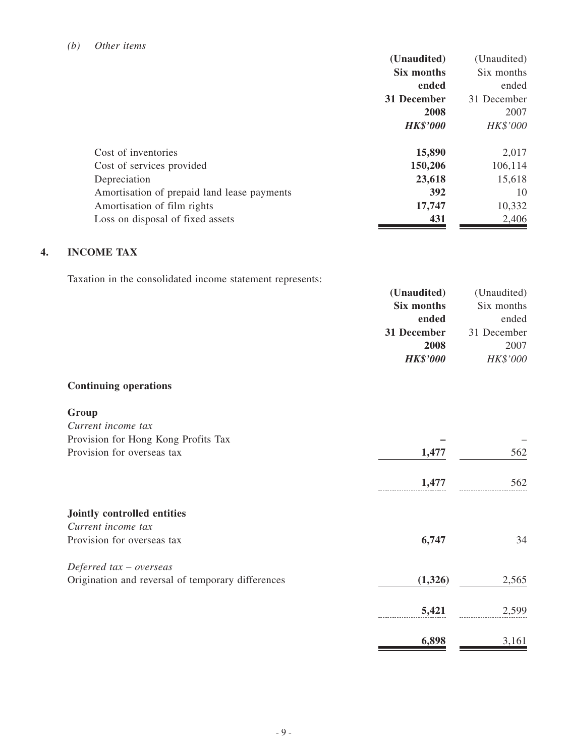|                                             | (Unaudited)     | (Unaudited) |
|---------------------------------------------|-----------------|-------------|
|                                             | Six months      | Six months  |
|                                             | ended           | ended       |
|                                             | 31 December     | 31 December |
|                                             | 2008            | 2007        |
|                                             | <b>HK\$'000</b> | HK\$'000    |
|                                             |                 |             |
| Cost of inventories                         | 15,890          | 2,017       |
| Cost of services provided                   | 150,206         | 106,114     |
| Depreciation                                | 23,618          | 15,618      |
| Amortisation of prepaid land lease payments | 392             | 10          |
| Amortisation of film rights                 | 17,747          | 10,332      |
| Loss on disposal of fixed assets            | 431             | 2,406       |

# **4. Income tax**

Taxation in the consolidated income statement represents:

| (Unaudited)     | (Unaudited) |
|-----------------|-------------|
| Six months      | Six months  |
| ended           | ended       |
| 31 December     | 31 December |
| 2008            | 2007        |
| <b>HK\$'000</b> | HK\$'000    |

#### **Continuing operations**

| Group                                             |         |       |
|---------------------------------------------------|---------|-------|
| Current income tax                                |         |       |
| Provision for Hong Kong Profits Tax               |         |       |
| Provision for overseas tax                        | 1,477   | 562   |
|                                                   | 1,477   | 562   |
| Jointly controlled entities                       |         |       |
| Current income tax                                |         |       |
| Provision for overseas tax                        | 6,747   | 34    |
| Deferred $tax -overse$                            |         |       |
| Origination and reversal of temporary differences | (1,326) | 2,565 |
|                                                   | 5,421   | 2,599 |
|                                                   | 6,898   | 3,161 |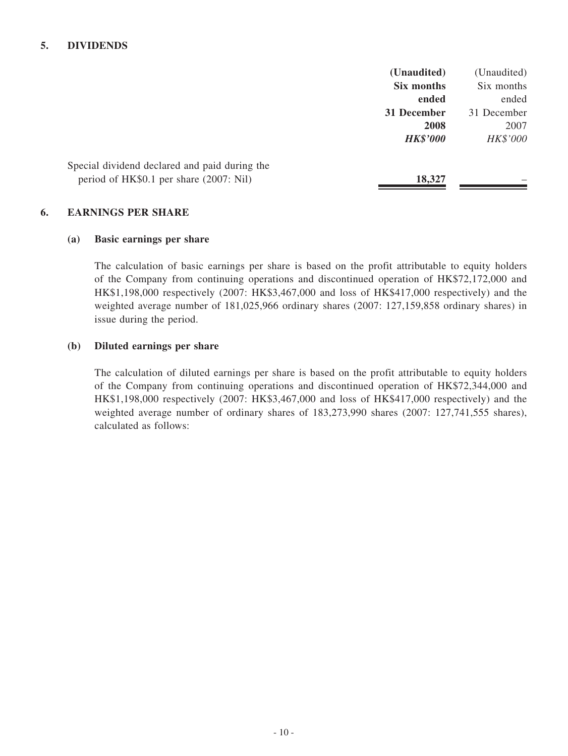#### **5. Dividends**

|                                               | (Unaudited)     | (Unaudited) |
|-----------------------------------------------|-----------------|-------------|
|                                               | Six months      | Six months  |
|                                               | ended           | ended       |
|                                               | 31 December     | 31 December |
|                                               | 2008            | 2007        |
|                                               | <b>HK\$'000</b> | HK\$'000    |
| Special dividend declared and paid during the |                 |             |
| period of HK\$0.1 per share (2007: Nil)       | 18,327          |             |

#### **6. Earnings per share**

#### **(a) Basic earnings per share**

The calculation of basic earnings per share is based on the profit attributable to equity holders of the Company from continuing operations and discontinued operation of HK\$72,172,000 and HK\$1,198,000 respectively (2007: HK\$3,467,000 and loss of HK\$417,000 respectively) and the weighted average number of 181,025,966 ordinary shares (2007: 127,159,858 ordinary shares) in issue during the period.

#### **(b) Diluted earnings per share**

The calculation of diluted earnings per share is based on the profit attributable to equity holders of the Company from continuing operations and discontinued operation of HK\$72,344,000 and HK\$1,198,000 respectively (2007: HK\$3,467,000 and loss of HK\$417,000 respectively) and the weighted average number of ordinary shares of 183,273,990 shares (2007: 127,741,555 shares), calculated as follows: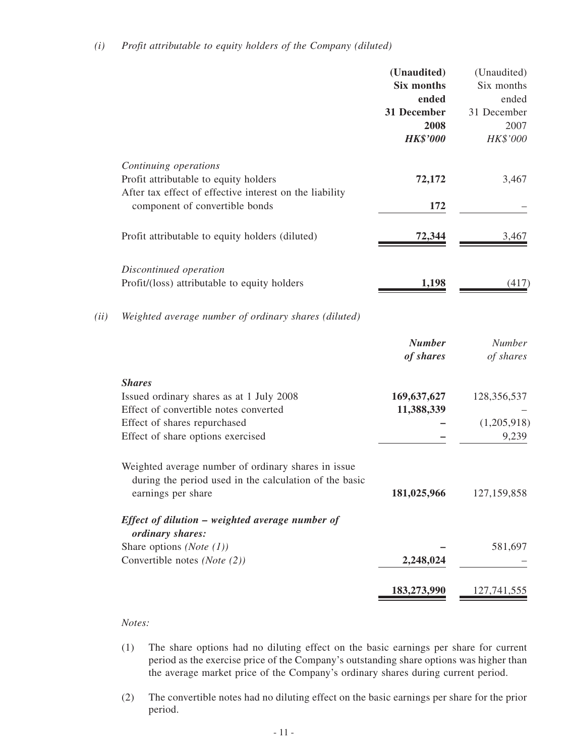|      |                                                                                           | (Unaudited)<br><b>Six months</b><br>ended<br>31 December<br>2008<br><b>HK\$'000</b> | (Unaudited)<br>Six months<br>ended<br>31 December<br>2007<br>HK\$'000 |
|------|-------------------------------------------------------------------------------------------|-------------------------------------------------------------------------------------|-----------------------------------------------------------------------|
|      | Continuing operations                                                                     |                                                                                     |                                                                       |
|      | Profit attributable to equity holders                                                     | 72,172                                                                              | 3,467                                                                 |
|      | After tax effect of effective interest on the liability<br>component of convertible bonds | 172                                                                                 |                                                                       |
|      | Profit attributable to equity holders (diluted)                                           | 72,344                                                                              | 3,467                                                                 |
|      | Discontinued operation                                                                    |                                                                                     |                                                                       |
|      | Profit/(loss) attributable to equity holders                                              | 1,198                                                                               | (417)                                                                 |
| (ii) | Weighted average number of ordinary shares (diluted)                                      |                                                                                     |                                                                       |
|      |                                                                                           | <b>Number</b><br>of shares                                                          | <b>Number</b><br>of shares                                            |
|      | <b>Shares</b>                                                                             |                                                                                     |                                                                       |
|      | Issued ordinary shares as at 1 July 2008                                                  | 169,637,627                                                                         | 128,356,537                                                           |
|      | Effect of convertible notes converted                                                     | 11,388,339                                                                          |                                                                       |
|      | Effect of shares repurchased                                                              |                                                                                     | (1,205,918)                                                           |
|      | Effect of share options exercised                                                         |                                                                                     | 9,239                                                                 |

| Weighted average number of ordinary shares in issue<br>during the period used in the calculation of the basic<br>earnings per share | 181,025,966 | 127, 159, 858 |
|-------------------------------------------------------------------------------------------------------------------------------------|-------------|---------------|
| Effect of dilution – weighted average number of                                                                                     |             |               |
| <i>ordinary shares:</i>                                                                                                             |             |               |
| Share options ( <i>Note</i> $(1)$ )                                                                                                 |             | 581,697       |
| Convertible notes (Note (2))                                                                                                        | 2,248,024   |               |

#### *Notes:*

(1) The share options had no diluting effect on the basic earnings per share for current period as the exercise price of the Company's outstanding share options was higher than the average market price of the Company's ordinary shares during current period.

**183,273,990** 127,741,555

(2) The convertible notes had no diluting effect on the basic earnings per share for the prior period.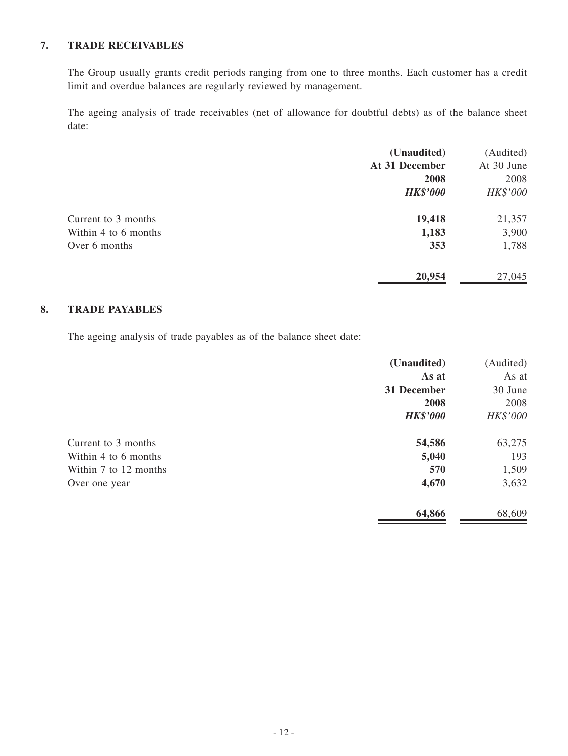### **7. Trade receivables**

The Group usually grants credit periods ranging from one to three months. Each customer has a credit limit and overdue balances are regularly reviewed by management.

The ageing analysis of trade receivables (net of allowance for doubtful debts) as of the balance sheet date:

|                      | (Unaudited)     | (Audited)  |
|----------------------|-----------------|------------|
|                      | At 31 December  | At 30 June |
|                      | 2008            | 2008       |
|                      | <b>HK\$'000</b> | HK\$'000   |
| Current to 3 months  | 19,418          | 21,357     |
| Within 4 to 6 months | 1,183           | 3,900      |
| Over 6 months        | 353             | 1,788      |
|                      | 20,954          | 27,045     |
|                      |                 |            |

#### **8. Trade payables**

The ageing analysis of trade payables as of the balance sheet date:

|                       | (Unaudited)     | (Audited) |
|-----------------------|-----------------|-----------|
|                       | As at           | As at     |
|                       | 31 December     | 30 June   |
|                       | 2008            | 2008      |
|                       | <b>HK\$'000</b> | HK\$'000  |
| Current to 3 months   | 54,586          | 63,275    |
| Within 4 to 6 months  | 5,040           | 193       |
| Within 7 to 12 months | 570             | 1,509     |
| Over one year         | 4,670           | 3,632     |
|                       | 64,866          | 68,609    |
|                       |                 |           |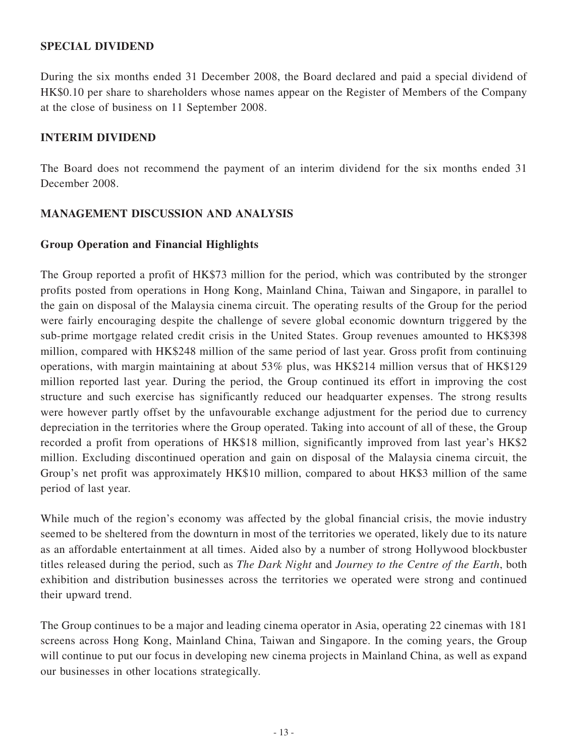#### **SPECIAL DIVIDEND**

During the six months ended 31 December 2008, the Board declared and paid a special dividend of HK\$0.10 per share to shareholders whose names appear on the Register of Members of the Company at the close of business on 11 September 2008.

#### **INTERIM DIVIDEND**

The Board does not recommend the payment of an interim dividend for the six months ended 31 December 2008.

#### **MANAGEMENT DISCUSSION AND ANALYSIS**

#### **Group Operation and Financial Highlights**

The Group reported a profit of HK\$73 million for the period, which was contributed by the stronger profits posted from operations in Hong Kong, Mainland China, Taiwan and Singapore, in parallel to the gain on disposal of the Malaysia cinema circuit. The operating results of the Group for the period were fairly encouraging despite the challenge of severe global economic downturn triggered by the sub-prime mortgage related credit crisis in the United States. Group revenues amounted to HK\$398 million, compared with HK\$248 million of the same period of last year. Gross profit from continuing operations, with margin maintaining at about 53% plus, was HK\$214 million versus that of HK\$129 million reported last year. During the period, the Group continued its effort in improving the cost structure and such exercise has significantly reduced our headquarter expenses. The strong results were however partly offset by the unfavourable exchange adjustment for the period due to currency depreciation in the territories where the Group operated. Taking into account of all of these, the Group recorded a profit from operations of HK\$18 million, significantly improved from last year's HK\$2 million. Excluding discontinued operation and gain on disposal of the Malaysia cinema circuit, the Group's net profit was approximately HK\$10 million, compared to about HK\$3 million of the same period of last year.

While much of the region's economy was affected by the global financial crisis, the movie industry seemed to be sheltered from the downturn in most of the territories we operated, likely due to its nature as an affordable entertainment at all times. Aided also by a number of strong Hollywood blockbuster titles released during the period, such as *The Dark Night* and *Journey to the Centre of the Earth*, both exhibition and distribution businesses across the territories we operated were strong and continued their upward trend.

The Group continues to be a major and leading cinema operator in Asia, operating 22 cinemas with 181 screens across Hong Kong, Mainland China, Taiwan and Singapore. In the coming years, the Group will continue to put our focus in developing new cinema projects in Mainland China, as well as expand our businesses in other locations strategically.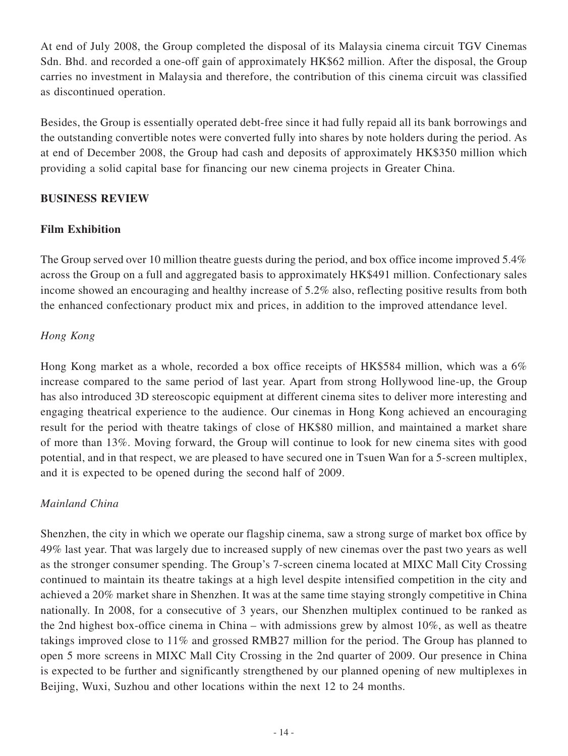At end of July 2008, the Group completed the disposal of its Malaysia cinema circuit TGV Cinemas Sdn. Bhd. and recorded a one-off gain of approximately HK\$62 million. After the disposal, the Group carries no investment in Malaysia and therefore, the contribution of this cinema circuit was classified as discontinued operation.

Besides, the Group is essentially operated debt-free since it had fully repaid all its bank borrowings and the outstanding convertible notes were converted fully into shares by note holders during the period. As at end of December 2008, the Group had cash and deposits of approximately HK\$350 million which providing a solid capital base for financing our new cinema projects in Greater China.

### **Business Review**

# **Film Exhibition**

The Group served over 10 million theatre guests during the period, and box office income improved 5.4% across the Group on a full and aggregated basis to approximately HK\$491 million. Confectionary sales income showed an encouraging and healthy increase of 5.2% also, reflecting positive results from both the enhanced confectionary product mix and prices, in addition to the improved attendance level.

# *Hong Kong*

Hong Kong market as a whole, recorded a box office receipts of HK\$584 million, which was a 6% increase compared to the same period of last year. Apart from strong Hollywood line-up, the Group has also introduced 3D stereoscopic equipment at different cinema sites to deliver more interesting and engaging theatrical experience to the audience. Our cinemas in Hong Kong achieved an encouraging result for the period with theatre takings of close of HK\$80 million, and maintained a market share of more than 13%. Moving forward, the Group will continue to look for new cinema sites with good potential, and in that respect, we are pleased to have secured one in Tsuen Wan for a 5-screen multiplex, and it is expected to be opened during the second half of 2009.

# *Mainland China*

Shenzhen, the city in which we operate our flagship cinema, saw a strong surge of market box office by 49% last year. That was largely due to increased supply of new cinemas over the past two years as well as the stronger consumer spending. The Group's 7-screen cinema located at MIXC Mall City Crossing continued to maintain its theatre takings at a high level despite intensified competition in the city and achieved a 20% market share in Shenzhen. It was at the same time staying strongly competitive in China nationally. In 2008, for a consecutive of 3 years, our Shenzhen multiplex continued to be ranked as the 2nd highest box-office cinema in China – with admissions grew by almost 10%, as well as theatre takings improved close to 11% and grossed RMB27 million for the period. The Group has planned to open 5 more screens in MIXC Mall City Crossing in the 2nd quarter of 2009. Our presence in China is expected to be further and significantly strengthened by our planned opening of new multiplexes in Beijing, Wuxi, Suzhou and other locations within the next 12 to 24 months.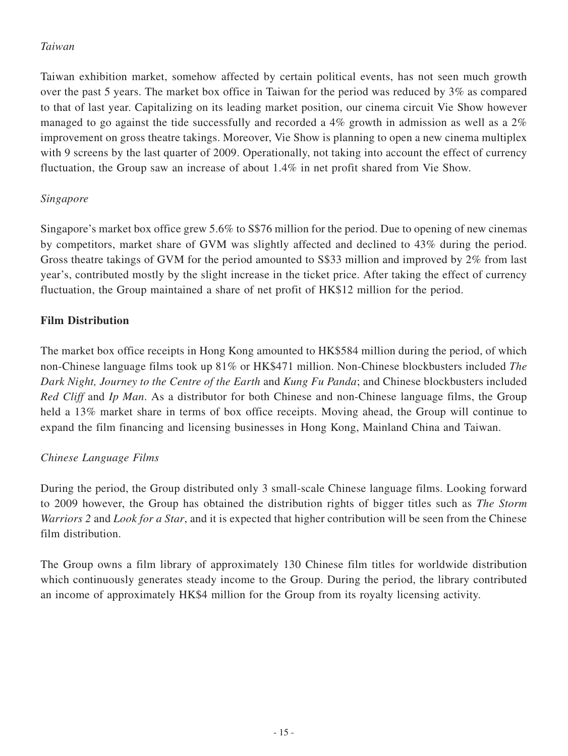# *Taiwan*

Taiwan exhibition market, somehow affected by certain political events, has not seen much growth over the past 5 years. The market box office in Taiwan for the period was reduced by 3% as compared to that of last year. Capitalizing on its leading market position, our cinema circuit Vie Show however managed to go against the tide successfully and recorded a 4% growth in admission as well as a 2% improvement on gross theatre takings. Moreover, Vie Show is planning to open a new cinema multiplex with 9 screens by the last quarter of 2009. Operationally, not taking into account the effect of currency fluctuation, the Group saw an increase of about 1.4% in net profit shared from Vie Show.

### *Singapore*

Singapore's market box office grew 5.6% to S\$76 million for the period. Due to opening of new cinemas by competitors, market share of GVM was slightly affected and declined to 43% during the period. Gross theatre takings of GVM for the period amounted to S\$33 million and improved by 2% from last year's, contributed mostly by the slight increase in the ticket price. After taking the effect of currency fluctuation, the Group maintained a share of net profit of HK\$12 million for the period.

# **Film Distribution**

The market box office receipts in Hong Kong amounted to HK\$584 million during the period, of which non-Chinese language films took up 81% or HK\$471 million. Non-Chinese blockbusters included *The Dark Night, Journey to the Centre of the Earth* and *Kung Fu Panda*; and Chinese blockbusters included *Red Cliff* and *Ip Man*. As a distributor for both Chinese and non-Chinese language films, the Group held a 13% market share in terms of box office receipts. Moving ahead, the Group will continue to expand the film financing and licensing businesses in Hong Kong, Mainland China and Taiwan.

# *Chinese Language Films*

During the period, the Group distributed only 3 small-scale Chinese language films. Looking forward to 2009 however, the Group has obtained the distribution rights of bigger titles such as *The Storm Warriors 2* and *Look for a Star*, and it is expected that higher contribution will be seen from the Chinese film distribution.

The Group owns a film library of approximately 130 Chinese film titles for worldwide distribution which continuously generates steady income to the Group. During the period, the library contributed an income of approximately HK\$4 million for the Group from its royalty licensing activity.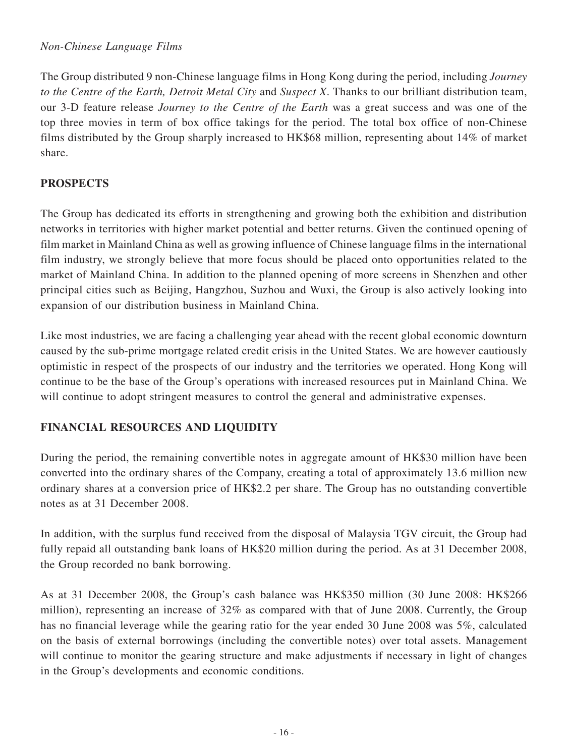### *Non-Chinese Language Films*

The Group distributed 9 non-Chinese language films in Hong Kong during the period, including *Journey to the Centre of the Earth, Detroit Metal City* and *Suspect X*. Thanks to our brilliant distribution team, our 3-D feature release *Journey to the Centre of the Earth* was a great success and was one of the top three movies in term of box office takings for the period. The total box office of non-Chinese films distributed by the Group sharply increased to HK\$68 million, representing about 14% of market share.

# **Prospects**

The Group has dedicated its efforts in strengthening and growing both the exhibition and distribution networks in territories with higher market potential and better returns. Given the continued opening of film market in Mainland China as well as growing influence of Chinese language films in the international film industry, we strongly believe that more focus should be placed onto opportunities related to the market of Mainland China. In addition to the planned opening of more screens in Shenzhen and other principal cities such as Beijing, Hangzhou, Suzhou and Wuxi, the Group is also actively looking into expansion of our distribution business in Mainland China.

Like most industries, we are facing a challenging year ahead with the recent global economic downturn caused by the sub-prime mortgage related credit crisis in the United States. We are however cautiously optimistic in respect of the prospects of our industry and the territories we operated. Hong Kong will continue to be the base of the Group's operations with increased resources put in Mainland China. We will continue to adopt stringent measures to control the general and administrative expenses.

# **Financial Resources and Liquidity**

During the period, the remaining convertible notes in aggregate amount of HK\$30 million have been converted into the ordinary shares of the Company, creating a total of approximately 13.6 million new ordinary shares at a conversion price of HK\$2.2 per share. The Group has no outstanding convertible notes as at 31 December 2008.

In addition, with the surplus fund received from the disposal of Malaysia TGV circuit, the Group had fully repaid all outstanding bank loans of HK\$20 million during the period. As at 31 December 2008, the Group recorded no bank borrowing.

As at 31 December 2008, the Group's cash balance was HK\$350 million (30 June 2008: HK\$266 million), representing an increase of 32% as compared with that of June 2008. Currently, the Group has no financial leverage while the gearing ratio for the year ended 30 June 2008 was 5%, calculated on the basis of external borrowings (including the convertible notes) over total assets. Management will continue to monitor the gearing structure and make adjustments if necessary in light of changes in the Group's developments and economic conditions.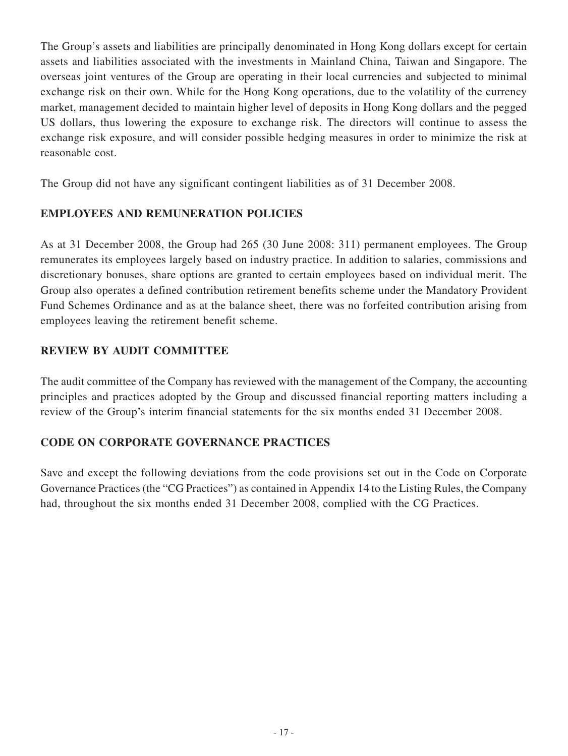The Group's assets and liabilities are principally denominated in Hong Kong dollars except for certain assets and liabilities associated with the investments in Mainland China, Taiwan and Singapore. The overseas joint ventures of the Group are operating in their local currencies and subjected to minimal exchange risk on their own. While for the Hong Kong operations, due to the volatility of the currency market, management decided to maintain higher level of deposits in Hong Kong dollars and the pegged US dollars, thus lowering the exposure to exchange risk. The directors will continue to assess the exchange risk exposure, and will consider possible hedging measures in order to minimize the risk at reasonable cost.

The Group did not have any significant contingent liabilities as of 31 December 2008.

# **EMPLOYEES AND REMUNERATION POLICIES**

As at 31 December 2008, the Group had 265 (30 June 2008: 311) permanent employees. The Group remunerates its employees largely based on industry practice. In addition to salaries, commissions and discretionary bonuses, share options are granted to certain employees based on individual merit. The Group also operates a defined contribution retirement benefits scheme under the Mandatory Provident Fund Schemes Ordinance and as at the balance sheet, there was no forfeited contribution arising from employees leaving the retirement benefit scheme.

# **REVIEW BY AUDIT COMMITTEE**

The audit committee of the Company has reviewed with the management of the Company, the accounting principles and practices adopted by the Group and discussed financial reporting matters including a review of the Group's interim financial statements for the six months ended 31 December 2008.

# **Code on CORPORATE GOVERNANCE practices**

Save and except the following deviations from the code provisions set out in the Code on Corporate Governance Practices (the "CG Practices") as contained in Appendix 14 to the Listing Rules, the Company had, throughout the six months ended 31 December 2008, complied with the CG Practices.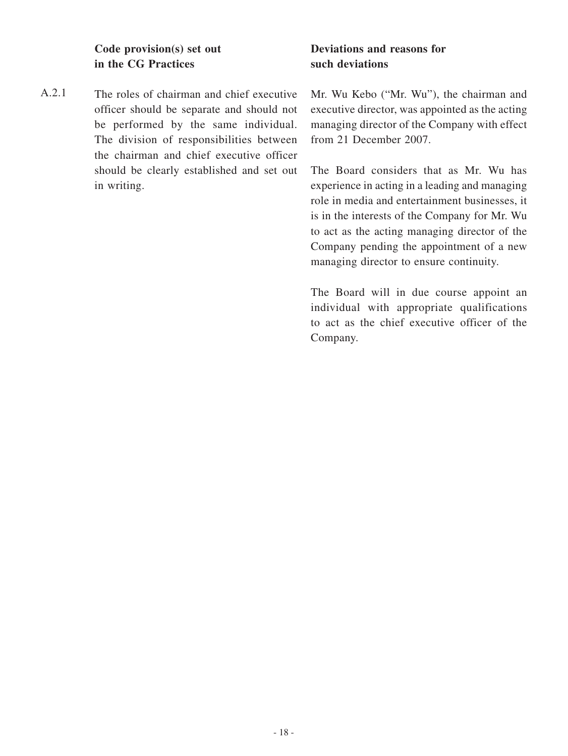**Code provision(s) set out in the CG Practices**

A.2.1 The roles of chairman and chief executive officer should be separate and should not be performed by the same individual. The division of responsibilities between the chairman and chief executive officer should be clearly established and set out in writing.

# **Deviations and reasons for such deviations**

Mr. Wu Kebo ("Mr. Wu"), the chairman and executive director, was appointed as the acting managing director of the Company with effect from 21 December 2007.

The Board considers that as Mr. Wu has experience in acting in a leading and managing role in media and entertainment businesses, it is in the interests of the Company for Mr. Wu to act as the acting managing director of the Company pending the appointment of a new managing director to ensure continuity.

The Board will in due course appoint an individual with appropriate qualifications to act as the chief executive officer of the Company.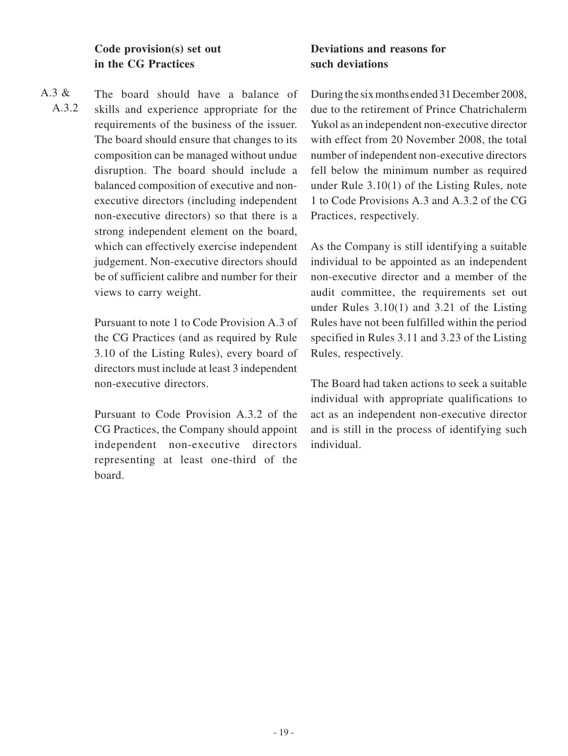**Code provision(s) set out in the CG Practices**

A.3 & A.3.2 The board should have a balance of skills and experience appropriate for the requirements of the business of the issuer. The board should ensure that changes to its composition can be managed without undue disruption. The board should include a balanced composition of executive and nonexecutive directors (including independent non-executive directors) so that there is a strong independent element on the board, which can effectively exercise independent judgement. Non-executive directors should be of sufficient calibre and number for their views to carry weight.

> Pursuant to note 1 to Code Provision A.3 of the CG Practices (and as required by Rule 3.10 of the Listing Rules), every board of directors must include at least 3 independent non-executive directors.

> Pursuant to Code Provision A.3.2 of the CG Practices, the Company should appoint independent non-executive directors representing at least one-third of the board.

# **Deviations and reasons for such deviations**

During the six months ended 31 December 2008, due to the retirement of Prince Chatrichalerm Yukol as an independent non-executive director with effect from 20 November 2008, the total number of independent non-executive directors fell below the minimum number as required under Rule 3.10(1) of the Listing Rules, note 1 to Code Provisions A.3 and A.3.2 of the CG Practices, respectively.

As the Company is still identifying a suitable individual to be appointed as an independent non-executive director and a member of the audit committee, the requirements set out under Rules 3.10(1) and 3.21 of the Listing Rules have not been fulfilled within the period specified in Rules 3.11 and 3.23 of the Listing Rules, respectively.

The Board had taken actions to seek a suitable individual with appropriate qualifications to act as an independent non-executive director and is still in the process of identifying such individual.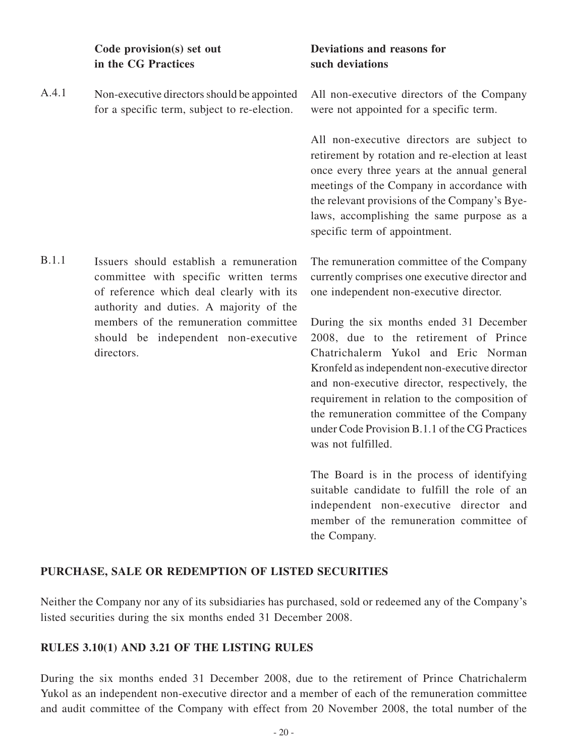**Code provision(s) set out in the CG Practices**

A.4.1 Non-executive directors should be appointed for a specific term, subject to re-election.

B.1.1 Issuers should establish a remuneration committee with specific written terms of reference which deal clearly with its authority and duties. A majority of the members of the remuneration committee should be independent non-executive directors.

# **Deviations and reasons for such deviations**

All non-executive directors of the Company were not appointed for a specific term.

All non-executive directors are subject to retirement by rotation and re-election at least once every three years at the annual general meetings of the Company in accordance with the relevant provisions of the Company's Byelaws, accomplishing the same purpose as a specific term of appointment.

The remuneration committee of the Company currently comprises one executive director and one independent non-executive director.

During the six months ended 31 December 2008, due to the retirement of Prince Chatrichalerm Yukol and Eric Norman Kronfeld as independent non-executive director and non-executive director, respectively, the requirement in relation to the composition of the remuneration committee of the Company under Code Provision B.1.1 of the CG Practices was not fulfilled.

The Board is in the process of identifying suitable candidate to fulfill the role of an independent non-executive director and member of the remuneration committee of the Company.

# **PURCHASE, SALE OR REDEMPTION OF LISTED SECURITIES**

Neither the Company nor any of its subsidiaries has purchased, sold or redeemed any of the Company's listed securities during the six months ended 31 December 2008.

# **RULES 3.10(1) AND 3.21 OF THE LISTING RULES**

During the six months ended 31 December 2008, due to the retirement of Prince Chatrichalerm Yukol as an independent non-executive director and a member of each of the remuneration committee and audit committee of the Company with effect from 20 November 2008, the total number of the